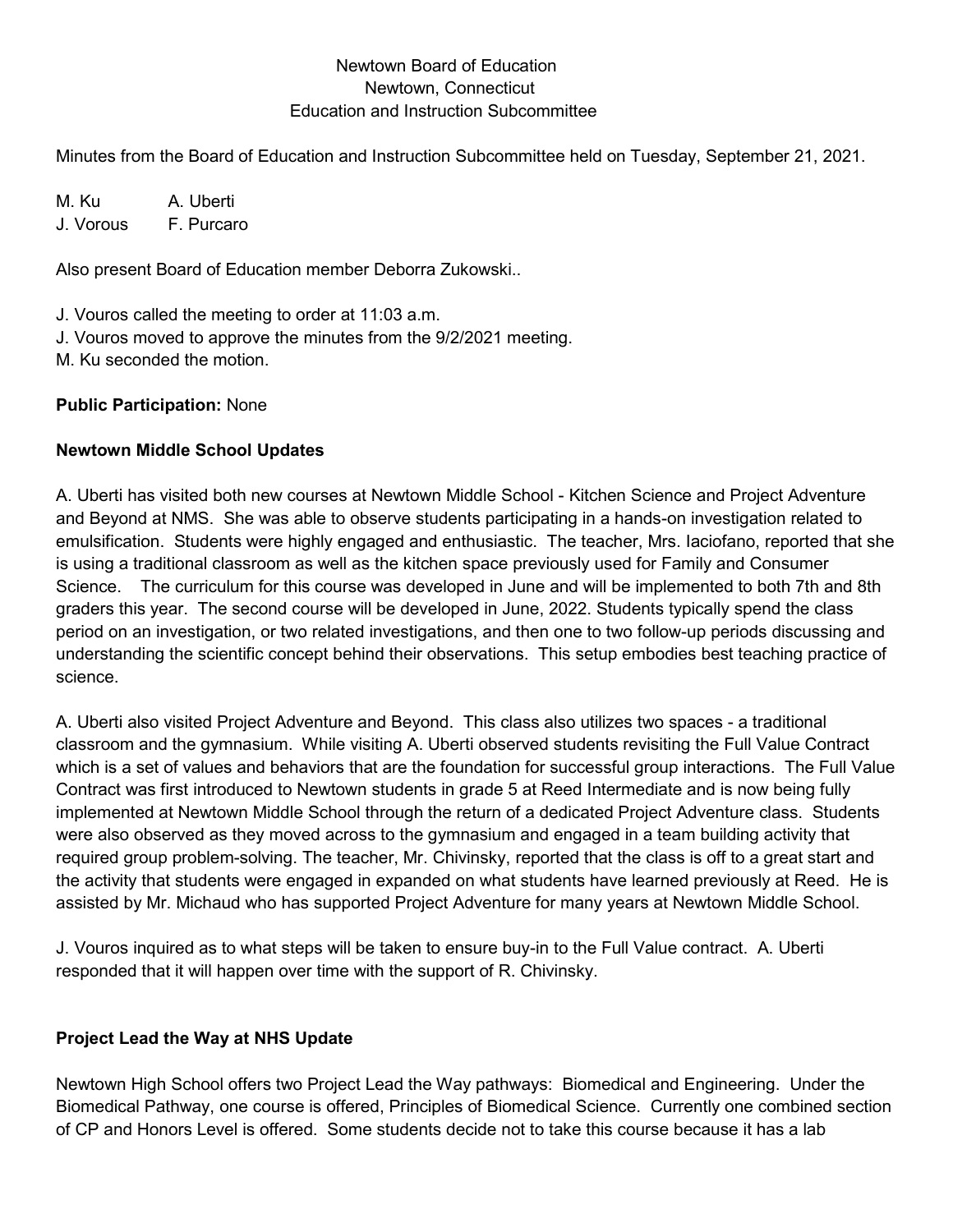#### Newtown Board of Education Newtown, Connecticut Education and Instruction Subcommittee

Minutes from the Board of Education and Instruction Subcommittee held on Tuesday, September 21, 2021.

M. Ku A. Uberti J. Vorous F. Purcaro

Also present Board of Education member Deborra Zukowski..

J. Vouros called the meeting to order at 11:03 a.m.

J. Vouros moved to approve the minutes from the 9/2/2021 meeting.

M. Ku seconded the motion.

### **Public Participation:** None

# **Newtown Middle School Updates**

A. Uberti has visited both new courses at Newtown Middle School - Kitchen Science and Project Adventure and Beyond at NMS. She was able to observe students participating in a hands-on investigation related to emulsification. Students were highly engaged and enthusiastic. The teacher, Mrs. Iaciofano, reported that she is using a traditional classroom as well as the kitchen space previously used for Family and Consumer Science. The curriculum for this course was developed in June and will be implemented to both 7th and 8th graders this year. The second course will be developed in June, 2022. Students typically spend the class period on an investigation, or two related investigations, and then one to two follow-up periods discussing and understanding the scientific concept behind their observations. This setup embodies best teaching practice of science.

A. Uberti also visited Project Adventure and Beyond. This class also utilizes two spaces - a traditional classroom and the gymnasium. While visiting A. Uberti observed students revisiting the Full Value Contract which is a set of values and behaviors that are the foundation for successful group interactions. The Full Value Contract was first introduced to Newtown students in grade 5 at Reed Intermediate and is now being fully implemented at Newtown Middle School through the return of a dedicated Project Adventure class. Students were also observed as they moved across to the gymnasium and engaged in a team building activity that required group problem-solving. The teacher, Mr. Chivinsky, reported that the class is off to a great start and the activity that students were engaged in expanded on what students have learned previously at Reed. He is assisted by Mr. Michaud who has supported Project Adventure for many years at Newtown Middle School.

J. Vouros inquired as to what steps will be taken to ensure buy-in to the Full Value contract. A. Uberti responded that it will happen over time with the support of R. Chivinsky.

# **Project Lead the Way at NHS Update**

Newtown High School offers two Project Lead the Way pathways: Biomedical and Engineering. Under the Biomedical Pathway, one course is offered, Principles of Biomedical Science. Currently one combined section of CP and Honors Level is offered. Some students decide not to take this course because it has a lab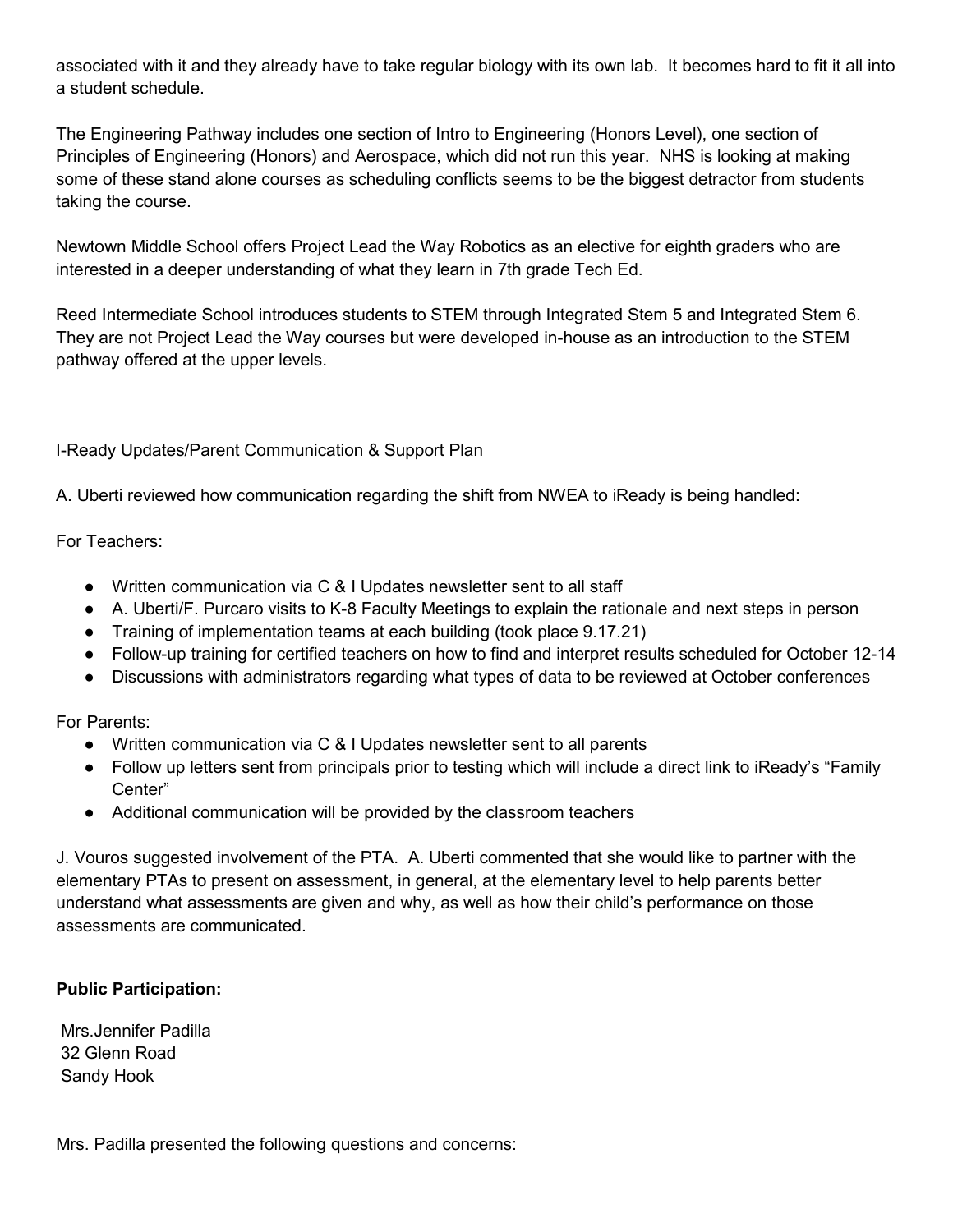associated with it and they already have to take regular biology with its own lab. It becomes hard to fit it all into a student schedule.

The Engineering Pathway includes one section of Intro to Engineering (Honors Level), one section of Principles of Engineering (Honors) and Aerospace, which did not run this year. NHS is looking at making some of these stand alone courses as scheduling conflicts seems to be the biggest detractor from students taking the course.

Newtown Middle School offers Project Lead the Way Robotics as an elective for eighth graders who are interested in a deeper understanding of what they learn in 7th grade Tech Ed.

Reed Intermediate School introduces students to STEM through Integrated Stem 5 and Integrated Stem 6. They are not Project Lead the Way courses but were developed in-house as an introduction to the STEM pathway offered at the upper levels.

I-Ready Updates/Parent Communication & Support Plan

A. Uberti reviewed how communication regarding the shift from NWEA to iReady is being handled:

For Teachers:

- Written communication via C & I Updates newsletter sent to all staff
- A. Uberti/F. Purcaro visits to K-8 Faculty Meetings to explain the rationale and next steps in person
- Training of implementation teams at each building (took place 9.17.21)
- Follow-up training for certified teachers on how to find and interpret results scheduled for October 12-14
- Discussions with administrators regarding what types of data to be reviewed at October conferences

For Parents:

- Written communication via C & I Updates newsletter sent to all parents
- Follow up letters sent from principals prior to testing which will include a direct link to iReady's "Family Center"
- Additional communication will be provided by the classroom teachers

J. Vouros suggested involvement of the PTA. A. Uberti commented that she would like to partner with the elementary PTAs to present on assessment, in general, at the elementary level to help parents better understand what assessments are given and why, as well as how their child's performance on those assessments are communicated.

#### **Public Participation:**

Mrs.Jennifer Padilla 32 Glenn Road Sandy Hook

Mrs. Padilla presented the following questions and concerns: